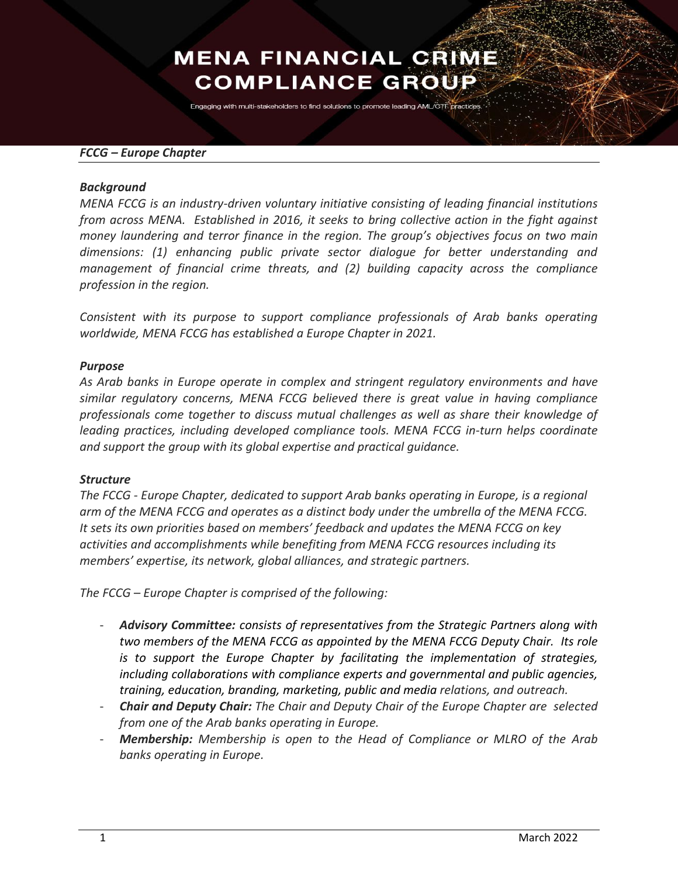# **MENA FINANCIAL CRIME COMPLIANCE GROUP**

Engaging with multi-stakeholders to find solutions to promote leading AML/CTF practices

### *FCCG – Europe Chapter*

#### *Background*

*MENA FCCG is an industry-driven voluntary initiative consisting of leading financial institutions from across MENA. Established in 2016, it seeks to bring collective action in the fight against money laundering and terror finance in the region. The group's objectives focus on two main dimensions: (1) enhancing public private sector dialogue for better understanding and management of financial crime threats, and (2) building capacity across the compliance profession in the region.*

*Consistent with its purpose to support compliance professionals of Arab banks operating worldwide, MENA FCCG has established a Europe Chapter in 2021.* 

### *Purpose*

*As Arab banks in Europe operate in complex and stringent regulatory environments and have similar regulatory concerns, MENA FCCG believed there is great value in having compliance professionals come together to discuss mutual challenges as well as share their knowledge of leading practices, including developed compliance tools. MENA FCCG in-turn helps coordinate and support the group with its global expertise and practical guidance.* 

### *Structure*

*The FCCG - Europe Chapter, dedicated to support Arab banks operating in Europe, is a regional arm of the MENA FCCG and operates as a distinct body under the umbrella of the MENA FCCG. It sets its own priorities based on members' feedback and updates the MENA FCCG on key activities and accomplishments while benefiting from MENA FCCG resources including its members' expertise, its network, global alliances, and strategic partners.* 

*The FCCG – Europe Chapter is comprised of the following:* 

- *Advisory Committee: consists of representatives from the Strategic Partners along with two members of the MENA FCCG as appointed by the MENA FCCG Deputy Chair. Its role is to support the Europe Chapter by facilitating the implementation of strategies, including collaborations with compliance experts and governmental and public agencies, training, education, branding, marketing, public and media relations, and outreach.*
- *Chair and Deputy Chair: The Chair and Deputy Chair of the Europe Chapter are selected from one of the Arab banks operating in Europe.*
- *Membership: Membership is open to the Head of Compliance or MLRO of the Arab banks operating in Europe.*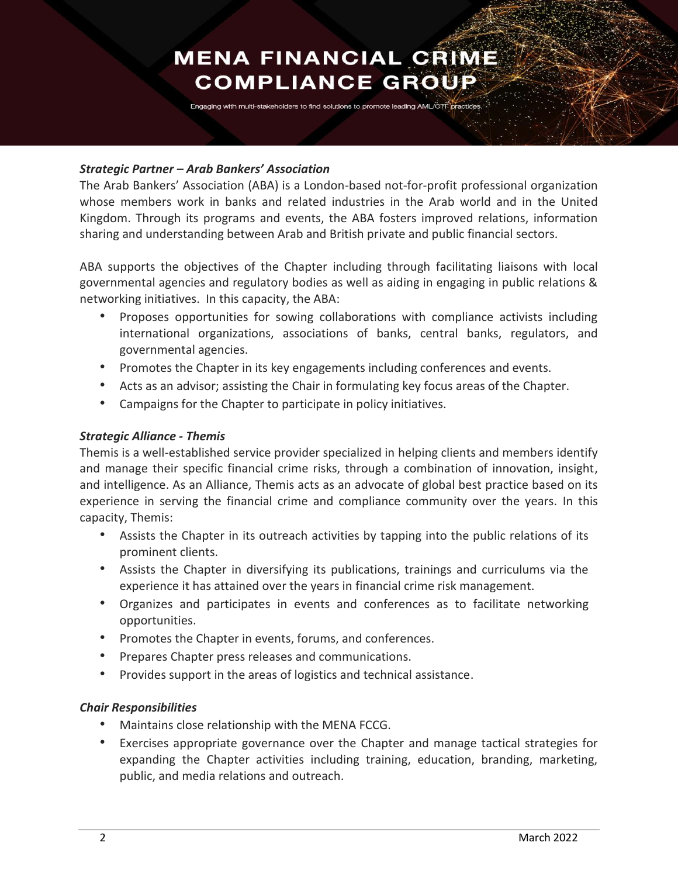# **MENA FINANCIAL CRIME COMPLIANCE GROUP**

Engaging with multi-stakeholders to find solutions to promote leading AML/CTF practice

### *Strategic Partner – Arab Bankers' Association*

The Arab Bankers' Association (ABA) is a London-based not-for-profit professional organization whose members work in banks and related industries in the Arab world and in the United Kingdom. Through its programs and events, the ABA fosters improved relations, information sharing and understanding between Arab and British private and public financial sectors.

ABA supports the objectives of the Chapter including through facilitating liaisons with local governmental agencies and regulatory bodies as well as aiding in engaging in public relations & networking initiatives. In this capacity, the ABA:

- Proposes opportunities for sowing collaborations with compliance activists including international organizations, associations of banks, central banks, regulators, and governmental agencies.
- Promotes the Chapter in its key engagements including conferences and events.
- Acts as an advisor; assisting the Chair in formulating key focus areas of the Chapter.
- Campaigns for the Chapter to participate in policy initiatives.

## *Strategic Alliance - Themis*

Themis is a well-established service provider specialized in helping clients and members identify and manage their specific financial crime risks, through a combination of innovation, insight, and intelligence. As an Alliance, Themis acts as an advocate of global best practice based on its experience in serving the financial crime and compliance community over the years. In this capacity, Themis:

- Assists the Chapter in its outreach activities by tapping into the public relations of its prominent clients.
- Assists the Chapter in diversifying its publications, trainings and curriculums via the experience it has attained over the years in financial crime risk management.
- Organizes and participates in events and conferences as to facilitate networking opportunities.
- Promotes the Chapter in events, forums, and conferences.
- Prepares Chapter press releases and communications.
- Provides support in the areas of logistics and technical assistance.

## *Chair Responsibilities*

- Maintains close relationship with the MENA FCCG.
- Exercises appropriate governance over the Chapter and manage tactical strategies for expanding the Chapter activities including training, education, branding, marketing, public, and media relations and outreach.